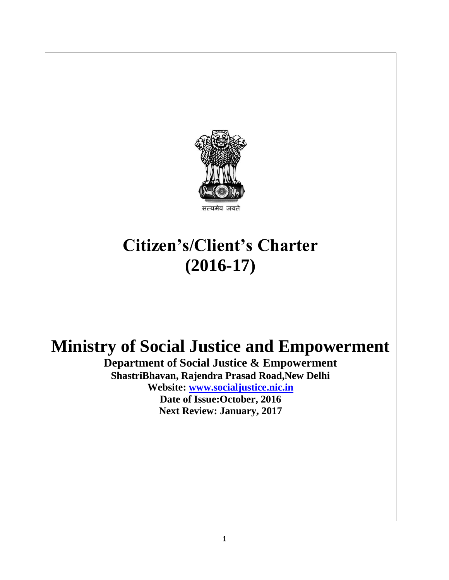

#### यमेव जयने

# **Citizen's/Client's Charter (2016-17)**

# **Ministry of Social Justice and Empowerment**

**Department of Social Justice & Empowerment ShastriBhavan, Rajendra Prasad Road,New Delhi Website: [www.socialjustice.nic.in](http://www.socialjustice.nic.in/) Date of Issue:October, 2016 Next Review: January, 2017**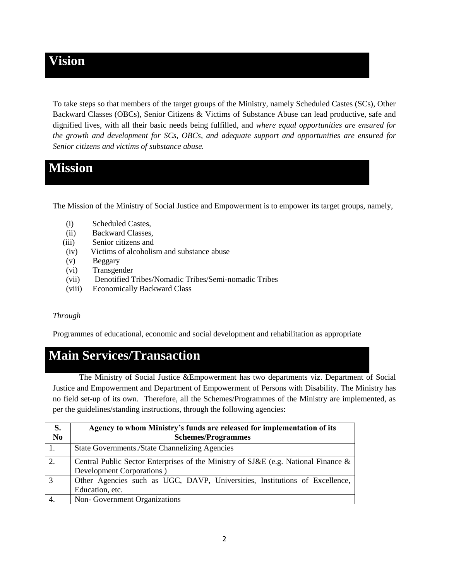### **Vision**

To take steps so that members of the target groups of the Ministry, namely Scheduled Castes (SCs), Other Backward Classes (OBCs), Senior Citizens & Victims of Substance Abuse can lead productive, safe and dignified lives, with all their basic needs being fulfilled, and *where equal opportunities are ensured for the growth and development for SCs, OBCs, and adequate support and opportunities are ensured for Senior citizens and victims of substance abuse.* 

## **Mission**

The Mission of the Ministry of Social Justice and Empowerment is to empower its target groups, namely,

- (i) Scheduled Castes,
- (ii) Backward Classes,
- (iii) Senior citizens and
- (iv) Victims of alcoholism and substance abuse
- (v) Beggary
- (vi) Transgender
- (vii) Denotified Tribes/Nomadic Tribes/Semi-nomadic Tribes
- (viii) Economically Backward Class

#### *Through*

Programmes of educational, economic and social development and rehabilitation as appropriate

# **Main Services/Transaction**

The Ministry of Social Justice &Empowerment has two departments viz. Department of Social Justice and Empowerment and Department of Empowerment of Persons with Disability. The Ministry has no field set-up of its own. Therefore, all the Schemes/Programmes of the Ministry are implemented, as per the guidelines/standing instructions, through the following agencies:

| S.<br>N <sub>0</sub> | Agency to whom Ministry's funds are released for implementation of its<br><b>Schemes/Programmes</b> |
|----------------------|-----------------------------------------------------------------------------------------------------|
| 1.                   | <b>State Governments./State Channelizing Agencies</b>                                               |
| 2.                   | Central Public Sector Enterprises of the Ministry of SJ&E (e.g. National Finance &                  |
|                      | Development Corporations)                                                                           |
| $\overline{3}$       | Other Agencies such as UGC, DAVP, Universities, Institutions of Excellence,                         |
|                      | Education, etc.                                                                                     |
|                      | Non-Government Organizations                                                                        |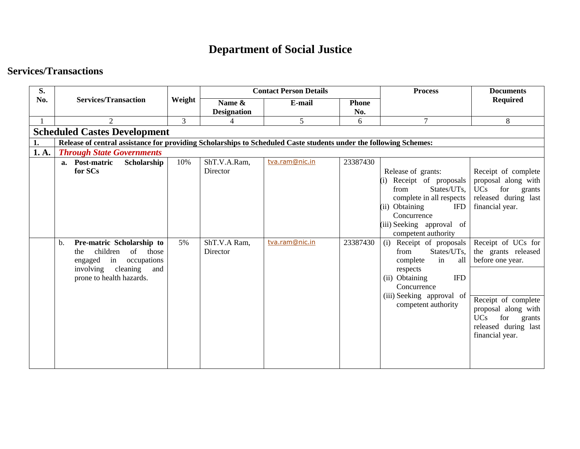# **Department of Social Justice**

#### **Services/Transactions**

| S.    |                                                                                                                   |        |                    | <b>Contact Person Details</b> |              | <b>Process</b>               | <b>Documents</b>                        |  |  |  |  |  |
|-------|-------------------------------------------------------------------------------------------------------------------|--------|--------------------|-------------------------------|--------------|------------------------------|-----------------------------------------|--|--|--|--|--|
| No.   | <b>Services/Transaction</b>                                                                                       | Weight | Name &             | E-mail                        | <b>Phone</b> |                              | <b>Required</b>                         |  |  |  |  |  |
|       |                                                                                                                   |        | <b>Designation</b> |                               | No.          |                              |                                         |  |  |  |  |  |
|       | 2                                                                                                                 | 3      | $\overline{4}$     | 5                             | 6            | 7                            | 8                                       |  |  |  |  |  |
|       | <b>Scheduled Castes Development</b>                                                                               |        |                    |                               |              |                              |                                         |  |  |  |  |  |
| 1.    | Release of central assistance for providing Scholarships to Scheduled Caste students under the following Schemes: |        |                    |                               |              |                              |                                         |  |  |  |  |  |
| 1. A. | <b>Through State Governments</b>                                                                                  |        |                    |                               |              |                              |                                         |  |  |  |  |  |
|       | a. Post-matric<br>Scholarship                                                                                     | 10%    | ShT.V.A.Ram,       | tva.ram@nic.in                | 23387430     |                              |                                         |  |  |  |  |  |
|       | for SCs                                                                                                           |        | Director           |                               |              | Release of grants:           | Receipt of complete                     |  |  |  |  |  |
|       |                                                                                                                   |        |                    |                               |              | (i) Receipt of proposals     | proposal along with                     |  |  |  |  |  |
|       |                                                                                                                   |        |                    |                               |              | States/UTs,<br>from          | <b>UCs</b><br>for grants                |  |  |  |  |  |
|       |                                                                                                                   |        |                    |                               |              | complete in all respects     | released during last                    |  |  |  |  |  |
|       |                                                                                                                   |        |                    |                               |              | (ii) Obtaining<br><b>IFD</b> | financial year.                         |  |  |  |  |  |
|       |                                                                                                                   |        |                    |                               |              | Concurrence                  |                                         |  |  |  |  |  |
|       |                                                                                                                   |        |                    |                               |              | (iii) Seeking approval of    |                                         |  |  |  |  |  |
|       |                                                                                                                   |        |                    |                               |              | competent authority          |                                         |  |  |  |  |  |
|       | Pre-matric Scholarship to<br>b.                                                                                   | 5%     | ShT.V.A Ram,       | tva.ram@nic.in                | 23387430     | $(i)$ Receipt of proposals   | Receipt of UCs for                      |  |  |  |  |  |
|       | children<br>of<br>those<br>the                                                                                    |        | Director           |                               |              | States/UTs,<br>from<br>all   | the grants released<br>before one year. |  |  |  |  |  |
|       | engaged<br>in<br>occupations<br>involving cleaning<br>and                                                         |        |                    |                               |              | complete<br>in<br>respects   |                                         |  |  |  |  |  |
|       | prone to health hazards.                                                                                          |        |                    |                               |              | <b>IFD</b><br>(ii) Obtaining |                                         |  |  |  |  |  |
|       |                                                                                                                   |        |                    |                               |              | Concurrence                  |                                         |  |  |  |  |  |
|       |                                                                                                                   |        |                    |                               |              | (iii) Seeking approval of    |                                         |  |  |  |  |  |
|       |                                                                                                                   |        |                    |                               |              | competent authority          | Receipt of complete                     |  |  |  |  |  |
|       |                                                                                                                   |        |                    |                               |              |                              | proposal along with                     |  |  |  |  |  |
|       |                                                                                                                   |        |                    |                               |              |                              | for<br><b>UCs</b><br>grants             |  |  |  |  |  |
|       |                                                                                                                   |        |                    |                               |              |                              | released during last<br>financial year. |  |  |  |  |  |
|       |                                                                                                                   |        |                    |                               |              |                              |                                         |  |  |  |  |  |
|       |                                                                                                                   |        |                    |                               |              |                              |                                         |  |  |  |  |  |
|       |                                                                                                                   |        |                    |                               |              |                              |                                         |  |  |  |  |  |
|       |                                                                                                                   |        |                    |                               |              |                              |                                         |  |  |  |  |  |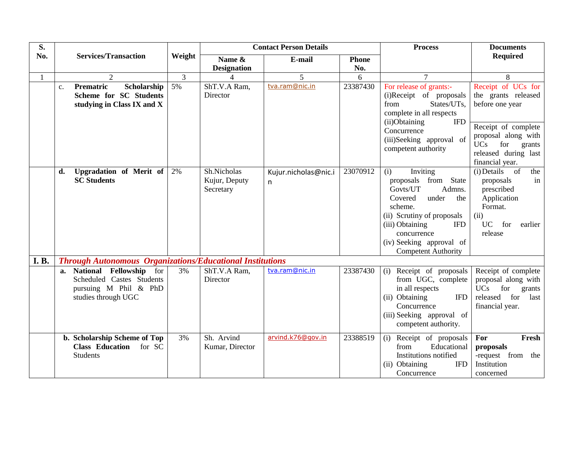| S.          |                                                                                                         |                |                                           | <b>Contact Person Details</b> |              | <b>Process</b>                                                                                                                                                                                                                              | <b>Documents</b>                                                                                                                                                                     |
|-------------|---------------------------------------------------------------------------------------------------------|----------------|-------------------------------------------|-------------------------------|--------------|---------------------------------------------------------------------------------------------------------------------------------------------------------------------------------------------------------------------------------------------|--------------------------------------------------------------------------------------------------------------------------------------------------------------------------------------|
| No.         | <b>Services/Transaction</b>                                                                             | Weight         | Name &                                    | E-mail                        | <b>Phone</b> |                                                                                                                                                                                                                                             | <b>Required</b>                                                                                                                                                                      |
|             |                                                                                                         |                | <b>Designation</b>                        |                               | No.          |                                                                                                                                                                                                                                             |                                                                                                                                                                                      |
|             | 2                                                                                                       | $\overline{3}$ | $\Delta$                                  | 5                             | 6            | $\tau$                                                                                                                                                                                                                                      | 8                                                                                                                                                                                    |
|             | Prematric<br>Scholarship<br>$\mathbf{c}$ .<br>Scheme for SC Students<br>studying in Class IX and X      | 5%             | ShT.V.A Ram,<br>Director                  | tva.ram@nic.in                | 23387430     | For release of grants:-<br>(i)Receipt of proposals<br>States/UTs,<br>from<br>complete in all respects<br>(ii)Obtaining<br><b>IFD</b><br>Concurrence<br>(iii)Seeking approval of<br>competent authority                                      | Receipt of UCs for<br>the grants released<br>before one year<br>Receipt of complete<br>proposal along with<br>for<br><b>UCs</b><br>grants<br>released during last<br>financial year. |
|             | Upgradation of Merit of<br>d.<br><b>SC Students</b>                                                     | 2%             | Sh.Nicholas<br>Kujur, Deputy<br>Secretary | Kujur.nicholas@nic.i<br>n.    | 23070912     | Inviting<br>(i)<br>proposals from State<br>Govts/UT<br>Admns.<br>Covered<br>under<br>the<br>scheme.<br>(ii) Scrutiny of proposals<br>(iii) Obtaining<br><b>IFD</b><br>concurrence<br>(iv) Seeking approval of<br><b>Competent Authority</b> | $(i)$ Details of<br>the<br>proposals<br>in<br>prescribed<br>Application<br>Format.<br>(ii)<br><b>UC</b><br>for<br>earlier<br>release                                                 |
| <b>I.B.</b> | <b>Through Autonomous Organizations/Educational Institutions</b>                                        |                |                                           |                               |              |                                                                                                                                                                                                                                             |                                                                                                                                                                                      |
|             | a. National Fellowship for<br>Scheduled Castes Students<br>pursuing M Phil & PhD<br>studies through UGC | 3%             | ShT.V.A Ram,<br>Director                  | tva.ram@nic.in                | 23387430     | Receipt of proposals<br>(i)<br>from UGC, complete<br>in all respects<br>(ii) Obtaining<br><b>IFD</b><br>Concurrence<br>(iii) Seeking approval of<br>competent authority.                                                                    | Receipt of complete<br>proposal along with<br>for<br>UCs<br>grants<br>released for<br>last<br>financial year.                                                                        |
|             | b. Scholarship Scheme of Top<br>Class Education for SC<br><b>Students</b>                               | 3%             | Sh. Arvind<br>Kumar, Director             | arvind.k76@gov.in             | 23388519     | Receipt of proposals<br>(i)<br>Educational<br>from<br>Institutions notified<br>(ii) Obtaining<br><b>IFD</b><br>Concurrence                                                                                                                  | For<br>Fresh<br>proposals<br>-request from the<br>Institution<br>concerned                                                                                                           |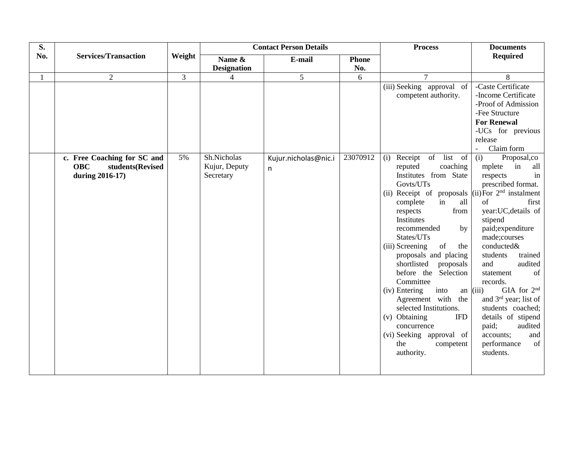| S.  |                                |                | <b>Contact Person Details</b> |                      |              | <b>Process</b>                                              | <b>Documents</b>                  |
|-----|--------------------------------|----------------|-------------------------------|----------------------|--------------|-------------------------------------------------------------|-----------------------------------|
| No. | <b>Services/Transaction</b>    | Weight         | Name &                        | E-mail               | <b>Phone</b> |                                                             | <b>Required</b>                   |
|     |                                |                | <b>Designation</b>            |                      | No.          |                                                             |                                   |
|     | $\overline{2}$                 | $\overline{3}$ | $\overline{4}$                | 5                    | 6            | $\tau$                                                      | 8                                 |
|     |                                |                |                               |                      |              | (iii) Seeking approval of                                   | -Caste Certificate                |
|     |                                |                |                               |                      |              | competent authority.                                        | -Income Certificate               |
|     |                                |                |                               |                      |              |                                                             | -Proof of Admission               |
|     |                                |                |                               |                      |              |                                                             | -Fee Structure                    |
|     |                                |                |                               |                      |              |                                                             | <b>For Renewal</b>                |
|     |                                |                |                               |                      |              |                                                             | -UCs for previous                 |
|     |                                |                |                               |                      |              |                                                             | release<br>Claim form             |
|     | c. Free Coaching for SC and    | 5%             | Sh.Nicholas                   | Kujur.nicholas@nic.i | 23070912     | (i) Receipt of list of                                      | Proposal,co<br>(i)                |
|     | <b>OBC</b><br>students(Revised |                | Kujur, Deputy                 | n.                   |              | coaching<br>reputed                                         | in<br>mplete<br>all               |
|     | during 2016-17)                |                | Secretary                     |                      |              | Institutes from State                                       | in<br>respects                    |
|     |                                |                |                               |                      |              | Govts/UTs                                                   | prescribed format.                |
|     |                                |                |                               |                      |              | (ii) Receipt of proposals $\vert$ (ii) For $2nd$ instalment |                                   |
|     |                                |                |                               |                      |              | in<br>all<br>complete                                       | of<br>first                       |
|     |                                |                |                               |                      |              | from<br>respects                                            | year:UC, details of               |
|     |                                |                |                               |                      |              | Institutes                                                  | stipend                           |
|     |                                |                |                               |                      |              | recommended<br>by                                           | paid; expenditure                 |
|     |                                |                |                               |                      |              | States/UTs                                                  | made;courses                      |
|     |                                |                |                               |                      |              | (iii) Screening<br>of<br>the<br>proposals and placing       | conducted&<br>trained<br>students |
|     |                                |                |                               |                      |              | shortlisted<br>proposals                                    | audited<br>and                    |
|     |                                |                |                               |                      |              | before the Selection                                        | of<br>statement                   |
|     |                                |                |                               |                      |              | Committee                                                   | records.                          |
|     |                                |                |                               |                      |              | into<br>(iv) Entering<br>an $(iii)$                         | GIA for 2 <sup>nd</sup>           |
|     |                                |                |                               |                      |              | Agreement with the                                          | and 3 <sup>rd</sup> year; list of |
|     |                                |                |                               |                      |              | selected Institutions.                                      | students coached;                 |
|     |                                |                |                               |                      |              | (v) Obtaining<br><b>IFD</b>                                 | details of stipend                |
|     |                                |                |                               |                      |              | concurrence                                                 | paid;<br>audited                  |
|     |                                |                |                               |                      |              | (vi) Seeking approval of                                    | accounts;<br>and                  |
|     |                                |                |                               |                      |              | the<br>competent                                            | of<br>performance                 |
|     |                                |                |                               |                      |              | authority.                                                  | students.                         |
|     |                                |                |                               |                      |              |                                                             |                                   |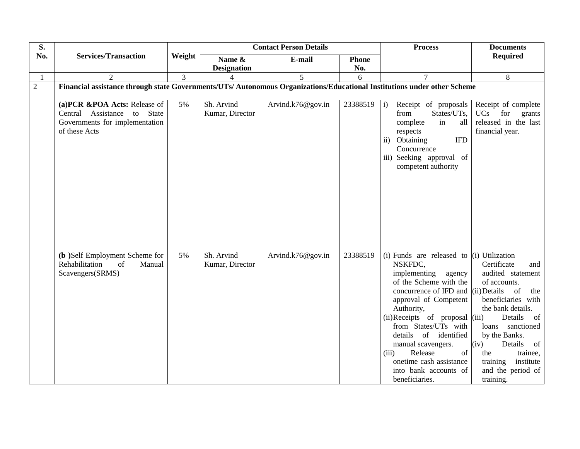| S.             |                                                                                                                          |                  |                               | <b>Contact Person Details</b> |              | <b>Process</b>                                                                                                                                                                                                                                                                                                                                                                                                   | <b>Documents</b>                                                                                                                                                                                                                                                                             |
|----------------|--------------------------------------------------------------------------------------------------------------------------|------------------|-------------------------------|-------------------------------|--------------|------------------------------------------------------------------------------------------------------------------------------------------------------------------------------------------------------------------------------------------------------------------------------------------------------------------------------------------------------------------------------------------------------------------|----------------------------------------------------------------------------------------------------------------------------------------------------------------------------------------------------------------------------------------------------------------------------------------------|
| No.            | <b>Services/Transaction</b>                                                                                              | Weight           | Name $\&$                     | E-mail                        | <b>Phone</b> |                                                                                                                                                                                                                                                                                                                                                                                                                  | <b>Required</b>                                                                                                                                                                                                                                                                              |
|                |                                                                                                                          |                  | <b>Designation</b>            |                               | No.          |                                                                                                                                                                                                                                                                                                                                                                                                                  |                                                                                                                                                                                                                                                                                              |
| $\mathbf{1}$   | $\overline{2}$                                                                                                           | $\overline{3}$   |                               | 5                             | 6            | $\tau$                                                                                                                                                                                                                                                                                                                                                                                                           | 8                                                                                                                                                                                                                                                                                            |
| $\overline{2}$ | Financial assistance through state Governments/UTs/ Autonomous Organizations/Educational Institutions under other Scheme |                  |                               |                               |              |                                                                                                                                                                                                                                                                                                                                                                                                                  |                                                                                                                                                                                                                                                                                              |
|                |                                                                                                                          |                  |                               |                               |              |                                                                                                                                                                                                                                                                                                                                                                                                                  |                                                                                                                                                                                                                                                                                              |
|                | (a)PCR &POA Acts: Release of<br>Central Assistance to State<br>Governments for implementation<br>of these Acts           | $\overline{5\%}$ | Sh. Arvind<br>Kumar, Director | Arvind.k76@gov.in             | 23388519     | i)<br>Receipt of proposals<br>States/UTs,<br>from<br>complete<br>in<br>all<br>respects<br>ii) Obtaining<br><b>IFD</b><br>Concurrence<br>iii) Seeking approval of<br>competent authority                                                                                                                                                                                                                          | Receipt of complete<br><b>UCs</b><br>for<br>grants<br>released in the last<br>financial year.                                                                                                                                                                                                |
|                | (b) Self Employment Scheme for<br>Rehabilitation<br>of<br>Manual<br>Scavengers(SRMS)                                     | 5%               | Sh. Arvind<br>Kumar, Director | Arvind.k76@gov.in             | 23388519     | (i) Funds $\overline{are}$ released to (i) Utilization<br>NSKFDC,<br>implementing<br>agency<br>of the Scheme with the<br>concurrence of IFD and (ii) Details<br>approval of Competent<br>Authority,<br>(ii) Receipts of proposal (iii)<br>from States/UTs with<br>details<br>of identified<br>manual scavengers.<br>Release<br>of<br>(iii)<br>onetime cash assistance<br>into bank accounts of<br>beneficiaries. | Certificate<br>and<br>audited statement<br>of accounts.<br><sub>of</sub><br>the<br>beneficiaries with<br>the bank details.<br>Details<br>- of<br>loans<br>sanctioned<br>by the Banks.<br>Details<br>(iv)<br>of<br>trainee,<br>the<br>training<br>institute<br>and the period of<br>training. |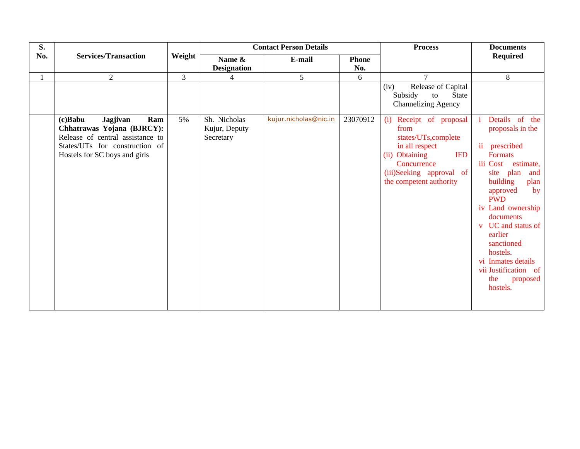| S.  |                                                                                                                                   |                | <b>Contact Person Details</b> |                       |              | <b>Process</b>                                                                                                                                       | <b>Documents</b>                                                                                                                                                                                                                                                                                                                                              |
|-----|-----------------------------------------------------------------------------------------------------------------------------------|----------------|-------------------------------|-----------------------|--------------|------------------------------------------------------------------------------------------------------------------------------------------------------|---------------------------------------------------------------------------------------------------------------------------------------------------------------------------------------------------------------------------------------------------------------------------------------------------------------------------------------------------------------|
| No. | <b>Services/Transaction</b>                                                                                                       | Weight         | Name &                        | E-mail                | <b>Phone</b> |                                                                                                                                                      | <b>Required</b>                                                                                                                                                                                                                                                                                                                                               |
|     |                                                                                                                                   |                | <b>Designation</b>            |                       | No.          |                                                                                                                                                      |                                                                                                                                                                                                                                                                                                                                                               |
|     | $\overline{2}$                                                                                                                    | $\overline{3}$ | 4                             | 5                     | 6            | $\tau$                                                                                                                                               | 8                                                                                                                                                                                                                                                                                                                                                             |
|     | Jagjivan<br>$(c)$ Babu<br>Ram                                                                                                     | 5%             | Sh. Nicholas                  | kujur.nicholas@nic.in | 23070912     | Release of Capital<br>(iv)<br>Subsidy<br><b>State</b><br>to<br><b>Channelizing Agency</b><br>(i) Receipt of proposal                                 | Details of the<br>÷i.                                                                                                                                                                                                                                                                                                                                         |
|     | Chhatrawas Yojana (BJRCY):<br>Release of central assistance to<br>States/UTs for construction of<br>Hostels for SC boys and girls |                | Kujur, Deputy<br>Secretary    |                       |              | from<br>states/UTs, complete<br>in all respect<br>(ii) Obtaining<br><b>IFD</b><br>Concurrence<br>(iii)Seeking approval of<br>the competent authority | proposals in the<br>$\ddot{\mathbf{i}}$<br>prescribed<br><b>Formats</b><br>iii Cost estimate,<br>site plan<br>and<br>building<br>plan<br>approved<br>by<br><b>PWD</b><br>iv Land ownership<br>documents<br>UC and status of<br>$\mathbf{V}$<br>earlier<br>sanctioned<br>hostels.<br>vi Inmates details<br>vii Justification of<br>the<br>proposed<br>hostels. |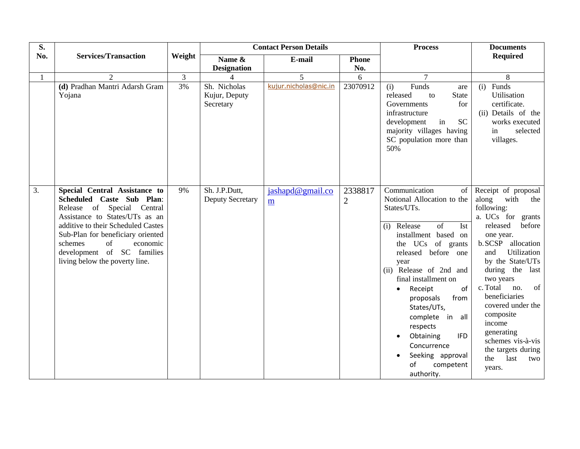| S.               |                                                                                                                                                                                                                                                                                                    |                |                                            | <b>Contact Person Details</b> |                           | <b>Process</b>                                                                                                                                                                                                                                                                                                                                                                                                                                                | <b>Documents</b>                                                                                                                                                                                                                                                                                                                                                                                |
|------------------|----------------------------------------------------------------------------------------------------------------------------------------------------------------------------------------------------------------------------------------------------------------------------------------------------|----------------|--------------------------------------------|-------------------------------|---------------------------|---------------------------------------------------------------------------------------------------------------------------------------------------------------------------------------------------------------------------------------------------------------------------------------------------------------------------------------------------------------------------------------------------------------------------------------------------------------|-------------------------------------------------------------------------------------------------------------------------------------------------------------------------------------------------------------------------------------------------------------------------------------------------------------------------------------------------------------------------------------------------|
| No.              | <b>Services/Transaction</b>                                                                                                                                                                                                                                                                        | Weight         | Name &                                     | E-mail                        | <b>Phone</b>              |                                                                                                                                                                                                                                                                                                                                                                                                                                                               | <b>Required</b>                                                                                                                                                                                                                                                                                                                                                                                 |
|                  |                                                                                                                                                                                                                                                                                                    |                | <b>Designation</b>                         |                               | No.                       |                                                                                                                                                                                                                                                                                                                                                                                                                                                               |                                                                                                                                                                                                                                                                                                                                                                                                 |
|                  | $\overline{2}$                                                                                                                                                                                                                                                                                     | $\overline{3}$ | $\overline{\mathcal{L}}$                   | 5                             | 6                         | $\overline{7}$                                                                                                                                                                                                                                                                                                                                                                                                                                                | 8                                                                                                                                                                                                                                                                                                                                                                                               |
|                  | (d) Pradhan Mantri Adarsh Gram<br>Yojana                                                                                                                                                                                                                                                           | 3%             | Sh. Nicholas<br>Kujur, Deputy<br>Secretary | kujur.nicholas@nic.in         | 23070912                  | Funds<br>(i)<br>are<br>released<br>State<br>to<br>Governments<br>for<br>infrastructure<br><b>SC</b><br>in<br>development<br>majority villages having<br>SC population more than<br>50%                                                                                                                                                                                                                                                                        | Funds<br>(i)<br>Utilisation<br>certificate.<br>(ii) Details of the<br>works executed<br>selected<br>in<br>villages.                                                                                                                                                                                                                                                                             |
| $\overline{3}$ . | Special Central Assistance to<br>Scheduled Caste Sub Plan:<br>Release of Special Central<br>Assistance to States/UTs as an<br>additive to their Scheduled Castes<br>Sub-Plan for beneficiary oriented<br>schemes<br>of<br>economic<br>development of SC families<br>living below the poverty line. | 9%             | Sh. J.P.Dutt,<br><b>Deputy Secretary</b>   | jashapd@gmail.co<br>m         | 2338817<br>$\overline{2}$ | Communication<br>$\sigma$ f<br>Notional Allocation to the<br>States/UTs.<br>$\overline{of}$<br>Ist<br>(i) Release<br>installment based on<br>the UCs of grants<br>released before one<br>year<br>(ii) Release of 2nd and<br>final installment on<br>of<br>Receipt<br>$\bullet$<br>from<br>proposals<br>States/UTs,<br>complete in all<br>respects<br>Obtaining<br><b>IFD</b><br>$\bullet$<br>Concurrence<br>Seeking approval<br>of<br>competent<br>authority. | Receipt of proposal<br>along<br>with<br>the<br>following:<br>a. UCs for grants<br>released<br>before<br>one year.<br>b.SCSP allocation<br>Utilization<br>and<br>by the State/UTs<br>during the last<br>two years<br>c. Total<br>no.<br>of<br>beneficiaries<br>covered under the<br>composite<br>income<br>generating<br>schemes vis-à-vis<br>the targets during<br>last<br>the<br>two<br>years. |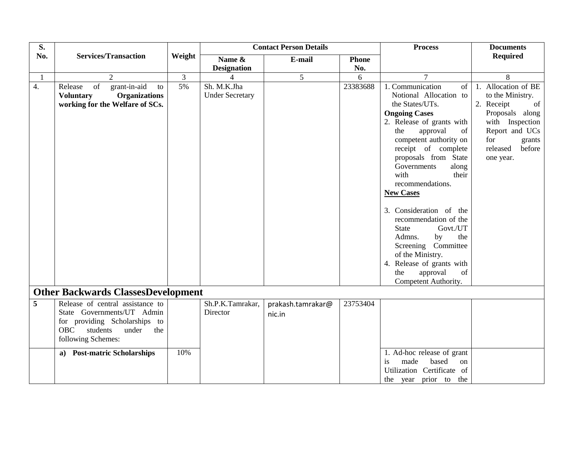| S.           |                                                                                                                                                                 |                |                                       | <b>Contact Person Details</b> |              | <b>Process</b>                                                                                                                                                                                                                                                                                                                                                                                                                                                                                                                              | <b>Documents</b>                                                                                                                                                        |
|--------------|-----------------------------------------------------------------------------------------------------------------------------------------------------------------|----------------|---------------------------------------|-------------------------------|--------------|---------------------------------------------------------------------------------------------------------------------------------------------------------------------------------------------------------------------------------------------------------------------------------------------------------------------------------------------------------------------------------------------------------------------------------------------------------------------------------------------------------------------------------------------|-------------------------------------------------------------------------------------------------------------------------------------------------------------------------|
| No.          | <b>Services/Transaction</b>                                                                                                                                     | Weight         | Name &                                | E-mail                        | <b>Phone</b> |                                                                                                                                                                                                                                                                                                                                                                                                                                                                                                                                             | <b>Required</b>                                                                                                                                                         |
|              |                                                                                                                                                                 |                | <b>Designation</b>                    |                               | No.          |                                                                                                                                                                                                                                                                                                                                                                                                                                                                                                                                             |                                                                                                                                                                         |
| $\mathbf{1}$ | $\overline{2}$                                                                                                                                                  | $\overline{3}$ | 4                                     | 5                             | 6            | $\overline{7}$                                                                                                                                                                                                                                                                                                                                                                                                                                                                                                                              | 8                                                                                                                                                                       |
| 4.           | of<br>grant-in-aid<br>Release<br>to<br><b>Organizations</b><br><b>Voluntary</b><br>working for the Welfare of SCs.                                              | 5%             | Sh. M.K.Jha<br><b>Under Secretary</b> |                               | 23383688     | 1. Communication<br>of<br>Notional Allocation to<br>the States/UTs.<br><b>Ongoing Cases</b><br>2. Release of grants with<br>of<br>the<br>approval<br>competent authority on<br>receipt of complete<br>proposals from State<br>Governments<br>along<br>with<br>their<br>recommendations.<br><b>New Cases</b><br>3. Consideration of the<br>recommendation of the<br>Govt./UT<br><b>State</b><br>Admns.<br>the<br>by<br>Screening Committee<br>of the Ministry.<br>4. Release of grants with<br>approval<br>the<br>of<br>Competent Authority. | 1. Allocation of BE<br>to the Ministry.<br>2. Receipt<br>of<br>Proposals along<br>with Inspection<br>Report and UCs<br>for<br>grants<br>released<br>before<br>one year. |
|              | <b>Other Backwards ClassesDevelopment</b>                                                                                                                       |                |                                       |                               |              |                                                                                                                                                                                                                                                                                                                                                                                                                                                                                                                                             |                                                                                                                                                                         |
| 5            | Release of central assistance to<br>State Governments/UT Admin<br>for providing Scholarships to<br><b>OBC</b><br>students<br>under<br>the<br>following Schemes: |                | Sh.P.K.Tamrakar,<br>Director          | prakash.tamrakar@<br>nic.in   | 23753404     |                                                                                                                                                                                                                                                                                                                                                                                                                                                                                                                                             |                                                                                                                                                                         |
|              | a) Post-matric Scholarships                                                                                                                                     | 10%            |                                       |                               |              | 1. Ad-hoc release of grant<br>made<br>based<br>is<br>on<br>Utilization Certificate of<br>the year prior to the                                                                                                                                                                                                                                                                                                                                                                                                                              |                                                                                                                                                                         |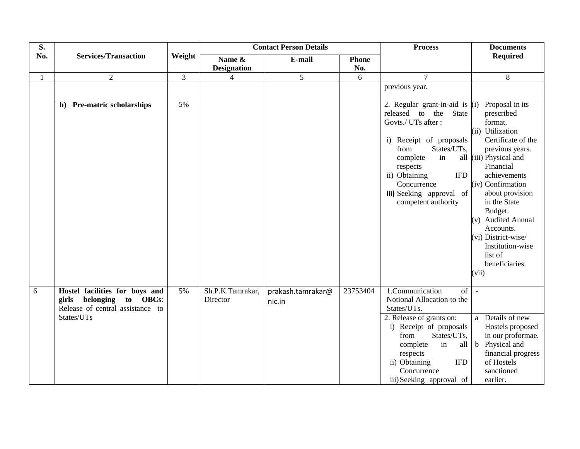| S.  |                                                                                                                 |                |                              | <b>Contact Person Details</b> |              | <b>Process</b>                                                                                                                                                                                                                                                              | <b>Documents</b>                                                                                                                                                                                                                                                                                                                                    |
|-----|-----------------------------------------------------------------------------------------------------------------|----------------|------------------------------|-------------------------------|--------------|-----------------------------------------------------------------------------------------------------------------------------------------------------------------------------------------------------------------------------------------------------------------------------|-----------------------------------------------------------------------------------------------------------------------------------------------------------------------------------------------------------------------------------------------------------------------------------------------------------------------------------------------------|
| No. | <b>Services/Transaction</b>                                                                                     | Weight         | Name &                       | E-mail                        | <b>Phone</b> |                                                                                                                                                                                                                                                                             | <b>Required</b>                                                                                                                                                                                                                                                                                                                                     |
|     |                                                                                                                 |                | <b>Designation</b>           |                               | No.          |                                                                                                                                                                                                                                                                             |                                                                                                                                                                                                                                                                                                                                                     |
|     | $\overline{2}$                                                                                                  | $\overline{3}$ | $\overline{4}$               | $\overline{5}$                | 6            | $\overline{7}$                                                                                                                                                                                                                                                              | 8                                                                                                                                                                                                                                                                                                                                                   |
|     |                                                                                                                 |                |                              |                               |              | previous year.                                                                                                                                                                                                                                                              |                                                                                                                                                                                                                                                                                                                                                     |
|     | b) Pre-matric scholarships                                                                                      | 5%             |                              |                               |              | 2. Regular grant-in-aid is $(i)$<br>released to the<br><b>State</b><br>Govts./ UTs after :<br>i) Receipt of proposals<br>States/UTs,<br>from<br>complete<br>in<br>respects<br>ii) Obtaining<br><b>IFD</b><br>Concurrence<br>iii) Seeking approval of<br>competent authority | Proposal in its<br>prescribed<br>format.<br>(ii) Utilization<br>Certificate of the<br>previous years.<br>all (iii) Physical and<br>Financial<br>achievements<br>(iv) Confirmation<br>about provision<br>in the State<br>Budget.<br>(v) Audited Annual<br>Accounts.<br>(vi) District-wise/<br>Institution-wise<br>list of<br>beneficiaries.<br>(vii) |
| 6   | Hostel facilities for boys and<br>belonging to OBCs:<br>girls<br>Release of central assistance to<br>States/UTs | 5%             | Sh.P.K.Tamrakar,<br>Director | prakash.tamrakar@<br>nic.in   | 23753404     | 1.Communication<br>of<br>Notional Allocation to the<br>States/UTs.<br>2. Release of grants on:<br>i) Receipt of proposals<br>States/UTs,<br>from<br>in<br>complete<br>all<br>respects<br>ii) Obtaining<br><b>IFD</b><br>Concurrence<br>iii) Seeking approval of             | $\sim$<br>a Details of new<br>Hostels proposed<br>in our proformae.<br>b Physical and<br>financial progress<br>of Hostels<br>sanctioned<br>earlier.                                                                                                                                                                                                 |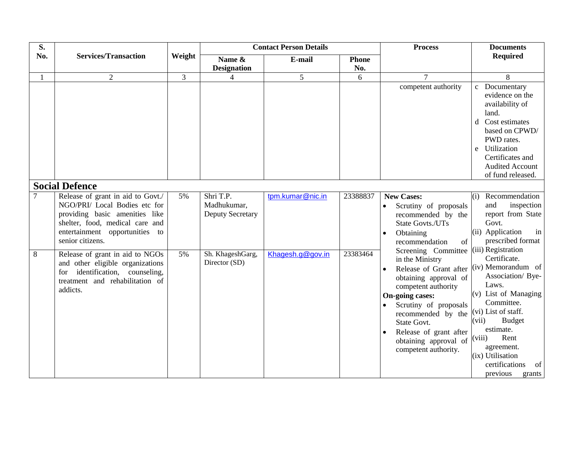| S.  |                                                                                                                                                                                               |        |                                                     | <b>Contact Person Details</b> |              | <b>Process</b>                                                                                                                                                                                                                                                                                                                  | <b>Documents</b>                                                                                                                                                                                                                                   |
|-----|-----------------------------------------------------------------------------------------------------------------------------------------------------------------------------------------------|--------|-----------------------------------------------------|-------------------------------|--------------|---------------------------------------------------------------------------------------------------------------------------------------------------------------------------------------------------------------------------------------------------------------------------------------------------------------------------------|----------------------------------------------------------------------------------------------------------------------------------------------------------------------------------------------------------------------------------------------------|
| No. | <b>Services/Transaction</b>                                                                                                                                                                   | Weight | Name &                                              | E-mail                        | <b>Phone</b> |                                                                                                                                                                                                                                                                                                                                 | <b>Required</b>                                                                                                                                                                                                                                    |
|     |                                                                                                                                                                                               |        | <b>Designation</b>                                  |                               | No.          |                                                                                                                                                                                                                                                                                                                                 |                                                                                                                                                                                                                                                    |
|     | 2                                                                                                                                                                                             | 3      | 4                                                   | 5                             | 6            | 7                                                                                                                                                                                                                                                                                                                               | 8                                                                                                                                                                                                                                                  |
|     |                                                                                                                                                                                               |        |                                                     |                               |              | competent authority                                                                                                                                                                                                                                                                                                             | Documentary<br>$\mathbf{c}$<br>evidence on the<br>availability of<br>land.<br>Cost estimates<br>d<br>based on CPWD/<br>PWD rates.<br>Utilization<br>e<br>Certificates and<br><b>Audited Account</b><br>of fund released.                           |
|     | <b>Social Defence</b>                                                                                                                                                                         |        |                                                     |                               |              |                                                                                                                                                                                                                                                                                                                                 |                                                                                                                                                                                                                                                    |
|     | Release of grant in aid to Govt./<br>NGO/PRI/ Local Bodies etc for<br>providing basic amenities like<br>shelter, food, medical care and<br>entertainment opportunities to<br>senior citizens. | 5%     | Shri T.P.<br>Madhukumar,<br><b>Deputy Secretary</b> | tpm.kumar@nic.in              | 23388837     | <b>New Cases:</b><br>Scrutiny of proposals<br>recommended by the<br>State Govts./UTs<br>Obtaining<br>$\bullet$<br>recommendation<br>of                                                                                                                                                                                          | Recommendation<br>(i)<br>inspection<br>and<br>report from State<br>Govt.<br>(ii) Application<br>in<br>prescribed format                                                                                                                            |
| 8   | Release of grant in aid to NGOs<br>and other eligible organizations<br>identification, counseling,<br>for<br>treatment and rehabilitation of<br>addicts.                                      | 5%     | Sh. KhageshGarg,<br>Director (SD)                   | Khagesh.g@gov.in              | 23383464     | Screening Committee (iii) Registration<br>in the Ministry<br>Release of Grant after (iv) Memorandum of<br>$\bullet$<br>obtaining approval of<br>competent authority<br>On-going cases:<br>Scrutiny of proposals<br>recommended by the<br>State Govt.<br>Release of grant after<br>obtaining approval of<br>competent authority. | Certificate.<br>Association/ Bye-<br>Laws.<br>$(v)$ List of Managing<br>Committee.<br>(vi) List of staff.<br><b>Budget</b><br>(vii)<br>estimate.<br>Rent<br>(viii)<br>agreement.<br>(ix) Utilisation<br>certifications<br>of<br>previous<br>grants |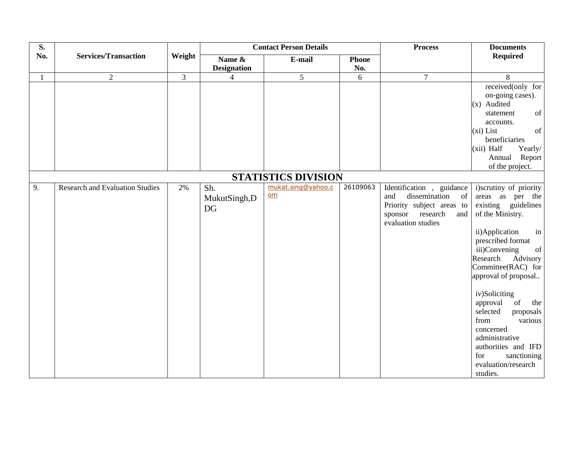| S.  |                                        |                | <b>Contact Person Details</b> |                            |              | <b>Process</b>                                         | <b>Documents</b>                                                                                                    |
|-----|----------------------------------------|----------------|-------------------------------|----------------------------|--------------|--------------------------------------------------------|---------------------------------------------------------------------------------------------------------------------|
| No. | <b>Services/Transaction</b>            | Weight         | Name &                        | E-mail                     | <b>Phone</b> |                                                        | <b>Required</b>                                                                                                     |
|     |                                        |                | <b>Designation</b>            |                            | No.          |                                                        |                                                                                                                     |
|     | $\overline{2}$                         | $\overline{3}$ | $\overline{4}$                | 5                          | 6            | $\overline{7}$                                         | 8                                                                                                                   |
|     |                                        |                |                               |                            |              |                                                        | received(only for                                                                                                   |
|     |                                        |                |                               |                            |              |                                                        | on-going cases).                                                                                                    |
|     |                                        |                |                               |                            |              |                                                        | (x) Audited                                                                                                         |
|     |                                        |                |                               |                            |              |                                                        | of<br>statement                                                                                                     |
|     |                                        |                |                               |                            |              |                                                        | accounts.                                                                                                           |
|     |                                        |                |                               |                            |              |                                                        | (xi) List<br>of<br>beneficiaries                                                                                    |
|     |                                        |                |                               |                            |              |                                                        | (xii) Half<br>Yearly/                                                                                               |
|     |                                        |                |                               |                            |              |                                                        | Annual Report                                                                                                       |
|     |                                        |                |                               |                            |              |                                                        | of the project.                                                                                                     |
|     |                                        |                |                               | <b>STATISTICS DIVISION</b> |              |                                                        |                                                                                                                     |
|     |                                        |                |                               | mukat.sing@yahoo.c         | 26109063     |                                                        |                                                                                                                     |
| 9.  | <b>Research and Evaluation Studies</b> | 2%             | Sh.                           | $om$                       |              | Identification, guidance<br>dissemination<br>of<br>and | i)scrutiny of priority<br>areas as per the                                                                          |
|     |                                        |                | MukutSingh,D                  |                            |              | Priority subject areas to                              | existing guidelines                                                                                                 |
|     |                                        |                | DG                            |                            |              | research<br>sponsor<br>and                             | of the Ministry.                                                                                                    |
|     |                                        |                |                               |                            |              | evaluation studies                                     |                                                                                                                     |
|     |                                        |                |                               |                            |              |                                                        | ii)Application<br>in                                                                                                |
|     |                                        |                |                               |                            |              |                                                        | prescribed format                                                                                                   |
|     |                                        |                |                               |                            |              |                                                        | iii)Convening<br>$% \left( \left( \mathcal{A},\mathcal{A}\right) \right) =\left( \mathcal{A},\mathcal{A}\right)$ of |
|     |                                        |                |                               |                            |              |                                                        | Research<br>Advisory                                                                                                |
|     |                                        |                |                               |                            |              |                                                        | Committee(RAC) for                                                                                                  |
|     |                                        |                |                               |                            |              |                                                        | approval of proposal                                                                                                |
|     |                                        |                |                               |                            |              |                                                        |                                                                                                                     |
|     |                                        |                |                               |                            |              |                                                        | iv)Soliciting                                                                                                       |
|     |                                        |                |                               |                            |              |                                                        | of<br>approval<br>the                                                                                               |
|     |                                        |                |                               |                            |              |                                                        | selected<br>proposals<br>various                                                                                    |
|     |                                        |                |                               |                            |              |                                                        | from<br>concerned                                                                                                   |
|     |                                        |                |                               |                            |              |                                                        | administrative                                                                                                      |
|     |                                        |                |                               |                            |              |                                                        | authorities and IFD                                                                                                 |
|     |                                        |                |                               |                            |              |                                                        | for<br>sanctioning                                                                                                  |
|     |                                        |                |                               |                            |              |                                                        | evaluation/research                                                                                                 |
|     |                                        |                |                               |                            |              |                                                        | studies.                                                                                                            |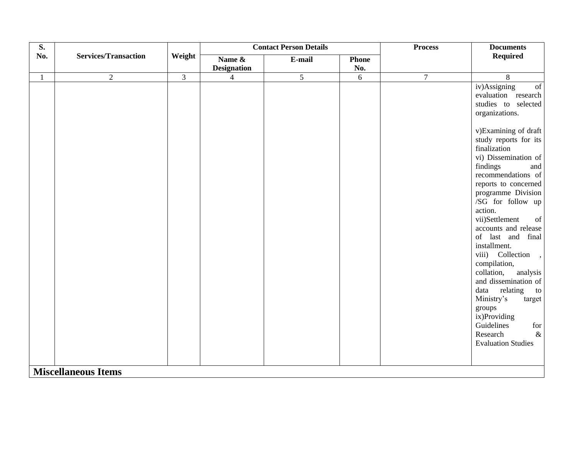| S.           |                             |                |                    | <b>Contact Person Details</b> |              | <b>Process</b> | <b>Documents</b>          |
|--------------|-----------------------------|----------------|--------------------|-------------------------------|--------------|----------------|---------------------------|
| No.          | <b>Services/Transaction</b> | Weight         | Name &             | E-mail                        | <b>Phone</b> |                | <b>Required</b>           |
|              |                             |                | <b>Designation</b> |                               | No.          |                |                           |
| $\mathbf{1}$ | $\overline{2}$              | $\overline{3}$ | $\overline{4}$     | $\overline{5}$                | 6            | $\overline{7}$ | 8                         |
|              |                             |                |                    |                               |              |                | iv)Assigning<br>of        |
|              |                             |                |                    |                               |              |                | evaluation research       |
|              |                             |                |                    |                               |              |                | studies to selected       |
|              |                             |                |                    |                               |              |                | organizations.            |
|              |                             |                |                    |                               |              |                | v)Examining of draft      |
|              |                             |                |                    |                               |              |                | study reports for its     |
|              |                             |                |                    |                               |              |                | finalization              |
|              |                             |                |                    |                               |              |                | vi) Dissemination of      |
|              |                             |                |                    |                               |              |                | findings<br>and           |
|              |                             |                |                    |                               |              |                | recommendations of        |
|              |                             |                |                    |                               |              |                | reports to concerned      |
|              |                             |                |                    |                               |              |                | programme Division        |
|              |                             |                |                    |                               |              |                | /SG for follow up         |
|              |                             |                |                    |                               |              |                | action.                   |
|              |                             |                |                    |                               |              |                | vii)Settlement<br>of      |
|              |                             |                |                    |                               |              |                | accounts and release      |
|              |                             |                |                    |                               |              |                | of last and final         |
|              |                             |                |                    |                               |              |                | installment.              |
|              |                             |                |                    |                               |              |                | viii) Collection ,        |
|              |                             |                |                    |                               |              |                | compilation,              |
|              |                             |                |                    |                               |              |                | collation,<br>analysis    |
|              |                             |                |                    |                               |              |                | and dissemination of      |
|              |                             |                |                    |                               |              |                | data<br>relating<br>to    |
|              |                             |                |                    |                               |              |                | Ministry's<br>target      |
|              |                             |                |                    |                               |              |                | groups                    |
|              |                             |                |                    |                               |              |                | ix)Providing              |
|              |                             |                |                    |                               |              |                | Guidelines<br>for         |
|              |                             |                |                    |                               |              |                | Research<br>$\&$          |
|              |                             |                |                    |                               |              |                | <b>Evaluation Studies</b> |
|              |                             |                |                    |                               |              |                |                           |
|              |                             |                |                    |                               |              |                |                           |
|              | <b>Miscellaneous Items</b>  |                |                    |                               |              |                |                           |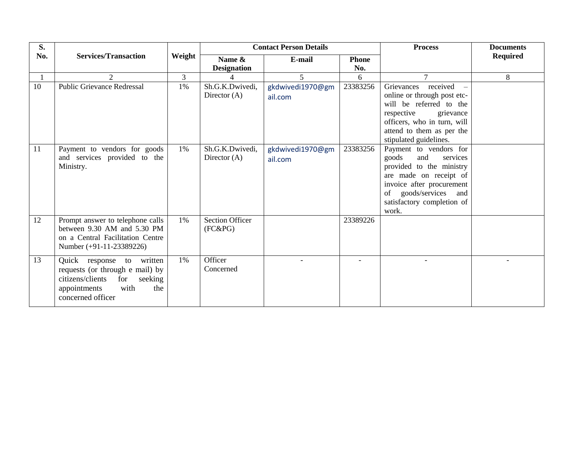| S.  |                                                                                                                                                        |                | <b>Contact Person Details</b>        |                             | <b>Process</b> | <b>Documents</b>                                                                                                                                                                                      |                 |
|-----|--------------------------------------------------------------------------------------------------------------------------------------------------------|----------------|--------------------------------------|-----------------------------|----------------|-------------------------------------------------------------------------------------------------------------------------------------------------------------------------------------------------------|-----------------|
| No. | <b>Services/Transaction</b>                                                                                                                            | Weight         | Name &                               | E-mail                      | <b>Phone</b>   |                                                                                                                                                                                                       | <b>Required</b> |
|     |                                                                                                                                                        |                | <b>Designation</b>                   |                             | No.            |                                                                                                                                                                                                       |                 |
|     | 2                                                                                                                                                      | $\overline{3}$ |                                      | 5                           | 6              | $\tau$                                                                                                                                                                                                | 8               |
| 10  | <b>Public Grievance Redressal</b>                                                                                                                      | 1%             | Sh.G.K.Dwivedi,<br>Director $(A)$    | gkdwivedi1970@gm<br>ail.com | 23383256       | Grievances received<br>online or through post etc-<br>will be referred to the<br>respective<br>grievance<br>officers, who in turn, will<br>attend to them as per the<br>stipulated guidelines.        |                 |
| 11  | Payment to vendors for goods<br>and services provided to the<br>Ministry.                                                                              | 1%             | Sh.G.K.Dwivedi,<br>Director $(A)$    | gkdwivedi1970@gm<br>ail.com | 23383256       | Payment to vendors for<br>goods<br>and<br>services<br>provided to the ministry<br>are made on receipt of<br>invoice after procurement<br>of goods/services and<br>satisfactory completion of<br>work. |                 |
| 12  | Prompt answer to telephone calls<br>between 9.30 AM and 5.30 PM<br>on a Central Facilitation Centre<br>Number (+91-11-23389226)                        | 1%             | <b>Section Officer</b><br>$(FC\&PG)$ |                             | 23389226       |                                                                                                                                                                                                       |                 |
| 13  | Quick response to written<br>requests (or through e mail) by<br>citizens/clients<br>for<br>seeking<br>appointments<br>with<br>the<br>concerned officer | 1%             | Officer<br>Concerned                 |                             |                |                                                                                                                                                                                                       |                 |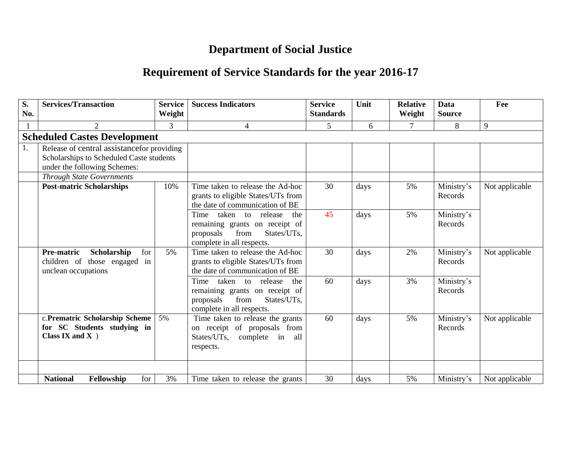# **Department of Social Justice**

# **Requirement of Service Standards for the year 2016-17**

| S.<br>No. | <b>Services/Transaction</b>                                   | <b>Service</b><br>Weight | <b>Success Indicators</b>                                   | <b>Service</b><br><b>Standards</b> | Unit | <b>Relative</b><br>Weight | <b>Data</b><br><b>Source</b> | Fee            |
|-----------|---------------------------------------------------------------|--------------------------|-------------------------------------------------------------|------------------------------------|------|---------------------------|------------------------------|----------------|
|           | $\overline{2}$                                                | 3                        | 4                                                           | 5                                  | 6    | 7                         | 8                            | 9              |
|           | <b>Scheduled Castes Development</b>                           |                          |                                                             |                                    |      |                           |                              |                |
| 1.        | Release of central assistance for providing                   |                          |                                                             |                                    |      |                           |                              |                |
|           | Scholarships to Scheduled Caste students                      |                          |                                                             |                                    |      |                           |                              |                |
|           | under the following Schemes:                                  |                          |                                                             |                                    |      |                           |                              |                |
|           | <b>Through State Governments</b>                              |                          |                                                             |                                    |      |                           |                              |                |
|           | <b>Post-matric Scholarships</b>                               | 10%                      | Time taken to release the Ad-hoc                            | 30                                 | days | 5%                        | Ministry's                   | Not applicable |
|           |                                                               |                          | grants to eligible States/UTs from                          |                                    |      |                           | Records                      |                |
|           |                                                               |                          | the date of communication of BE                             |                                    |      |                           |                              |                |
|           |                                                               |                          | Time taken to release<br>the                                | 45                                 | days | 5%                        | Ministry's                   |                |
|           |                                                               |                          | remaining grants on receipt of<br>from<br>States/UTs,       |                                    |      |                           | Records                      |                |
|           |                                                               |                          | proposals<br>complete in all respects.                      |                                    |      |                           |                              |                |
|           | Pre-matric<br>Scholarship<br>for                              | 5%                       | Time taken to release the Ad-hoc                            | 30                                 | days | 2%                        | Ministry's                   | Not applicable |
|           | children of those engaged<br>in                               |                          | grants to eligible States/UTs from                          |                                    |      |                           | Records                      |                |
|           | unclean occupations                                           |                          | the date of communication of BE                             |                                    |      |                           |                              |                |
|           |                                                               |                          | Time taken to release<br>the                                | 60                                 | days | 3%                        | Ministry's                   |                |
|           |                                                               |                          | remaining grants on receipt of                              |                                    |      |                           | Records                      |                |
|           |                                                               |                          | from<br>States/UTs,<br>proposals                            |                                    |      |                           |                              |                |
|           |                                                               |                          | complete in all respects.                                   |                                    |      |                           |                              |                |
|           | c.Prematric Scholarship Scheme<br>for SC Students studying in | 5%                       | Time taken to release the grants                            | 60                                 | days | 5%                        | Ministry's                   | Not applicable |
|           | Class IX and $X$ )                                            |                          | on receipt of proposals from<br>States/UTs, complete in all |                                    |      |                           | Records                      |                |
|           |                                                               |                          | respects.                                                   |                                    |      |                           |                              |                |
|           |                                                               |                          |                                                             |                                    |      |                           |                              |                |
|           |                                                               |                          |                                                             |                                    |      |                           |                              |                |
|           | <b>National</b><br>for<br>Fellowship                          | 3%                       | Time taken to release the grants                            | 30                                 | days | 5%                        | Ministry's                   | Not applicable |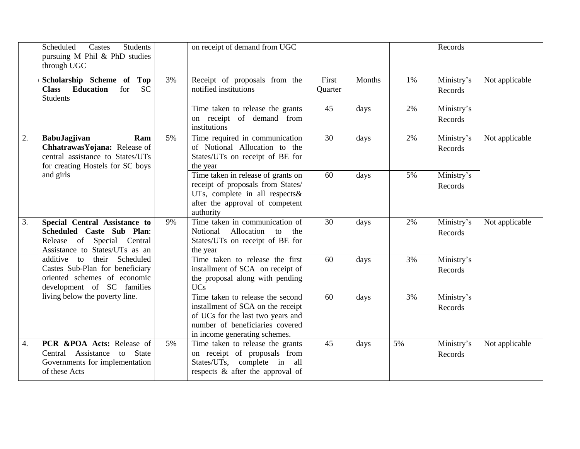|                  | Scheduled<br><b>Students</b><br>Castes<br>pursuing M Phil & PhD studies<br>through UGC                                              |    | on receipt of demand from UGC                                                                                                                                                  |                  |        |    | Records               |                |
|------------------|-------------------------------------------------------------------------------------------------------------------------------------|----|--------------------------------------------------------------------------------------------------------------------------------------------------------------------------------|------------------|--------|----|-----------------------|----------------|
|                  | Scholarship Scheme of Top<br><b>Class</b> Education<br><b>SC</b><br>for<br><b>Students</b>                                          | 3% | Receipt of proposals from the<br>notified institutions                                                                                                                         | First<br>Quarter | Months | 1% | Ministry's<br>Records | Not applicable |
|                  |                                                                                                                                     |    | Time taken to release the grants<br>on receipt of demand from<br>institutions                                                                                                  | 45               | days   | 2% | Ministry's<br>Records |                |
| 2.               | <b>BabuJagjivan</b><br>Ram<br>Chhatrawas Yojana: Release of<br>central assistance to States/UTs<br>for creating Hostels for SC boys | 5% | Time required in communication<br>of Notional Allocation to the<br>States/UTs on receipt of BE for<br>the year                                                                 | 30               | days   | 2% | Ministry's<br>Records | Not applicable |
|                  | and girls                                                                                                                           |    | Time taken in release of grants on<br>receipt of proposals from States/<br>UTs, complete in all respects&<br>after the approval of competent<br>authority                      | 60               | days   | 5% | Ministry's<br>Records |                |
| 3.               | Special Central Assistance to<br>Scheduled Caste Sub Plan:<br>Release of Special Central<br>Assistance to States/UTs as an          | 9% | Time taken in communication of<br>Notional<br>Allocation to<br>the<br>States/UTs on receipt of BE for<br>the year                                                              | 30               | days   | 2% | Ministry's<br>Records | Not applicable |
|                  | their Scheduled<br>additive to<br>Castes Sub-Plan for beneficiary<br>oriented schemes of economic<br>development of SC families     |    | Time taken to release the first<br>installment of SCA on receipt of<br>the proposal along with pending<br><b>UCs</b>                                                           | 60               | days   | 3% | Ministry's<br>Records |                |
|                  | living below the poverty line.                                                                                                      |    | Time taken to release the second<br>installment of SCA on the receipt<br>of UCs for the last two years and<br>number of beneficiaries covered<br>in income generating schemes. | 60               | days   | 3% | Ministry's<br>Records |                |
| $\overline{4}$ . | PCR &POA Acts: Release of<br>Central Assistance to State<br>Governments for implementation<br>of these Acts                         | 5% | Time taken to release the grants<br>on receipt of proposals from<br>States/UTs, complete in all<br>respects & after the approval of                                            | 45               | days   | 5% | Ministry's<br>Records | Not applicable |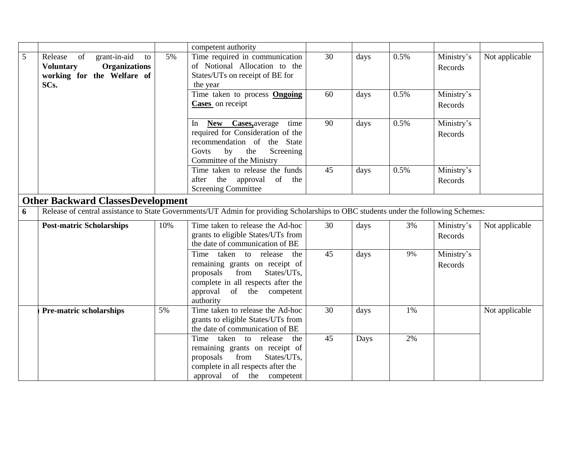|   |                                                                                                                       |     | competent authority                                                                                                                                                                   |                 |      |      |                       |                |
|---|-----------------------------------------------------------------------------------------------------------------------|-----|---------------------------------------------------------------------------------------------------------------------------------------------------------------------------------------|-----------------|------|------|-----------------------|----------------|
| 5 | Release<br>of<br>grant-in-aid<br>to<br><b>Organizations</b><br><b>Voluntary</b><br>working for the Welfare of<br>SCs. | 5%  | Time required in communication<br>of Notional Allocation to the<br>States/UTs on receipt of BE for<br>the year                                                                        | 30              | days | 0.5% | Ministry's<br>Records | Not applicable |
|   |                                                                                                                       |     | Time taken to process <b>Ongoing</b><br>Cases on receipt                                                                                                                              | 60              | days | 0.5% | Ministry's<br>Records |                |
|   |                                                                                                                       |     | New Cases, average<br>time<br>In<br>required for Consideration of the<br>recommendation of the State<br>by<br>the<br>Screening<br>Govts<br>Committee of the Ministry                  | $\overline{90}$ | days | 0.5% | Ministry's<br>Records |                |
|   |                                                                                                                       |     | Time taken to release the funds<br>after the<br>approval<br>of the<br><b>Screening Committee</b>                                                                                      | 45              | days | 0.5% | Ministry's<br>Records |                |
|   | <b>Other Backward ClassesDevelopment</b>                                                                              |     |                                                                                                                                                                                       |                 |      |      |                       |                |
| 6 |                                                                                                                       |     | Release of central assistance to State Governments/UT Admin for providing Scholarships to OBC students under the following Schemes:                                                   |                 |      |      |                       |                |
|   | <b>Post-matric Scholarships</b>                                                                                       | 10% | Time taken to release the Ad-hoc<br>grants to eligible States/UTs from<br>the date of communication of BE                                                                             | 30              | days | 3%   | Ministry's<br>Records | Not applicable |
|   |                                                                                                                       |     | Time taken to release<br>the<br>remaining grants on receipt of<br>from<br>proposals<br>States/UTs,<br>complete in all respects after the<br>approval<br>of the competent<br>authority | 45              | days | 9%   | Ministry's<br>Records |                |
|   | <b>Pre-matric scholarships</b>                                                                                        | 5%  | Time taken to release the Ad-hoc<br>grants to eligible States/UTs from<br>the date of communication of BE                                                                             | 30              | days | 1%   |                       | Not applicable |
|   |                                                                                                                       |     | Time taken to release<br>the<br>remaining grants on receipt of<br>proposals<br>from<br>States/UTs,<br>complete in all respects after the<br>approval of the competent                 | 45              | Days | 2%   |                       |                |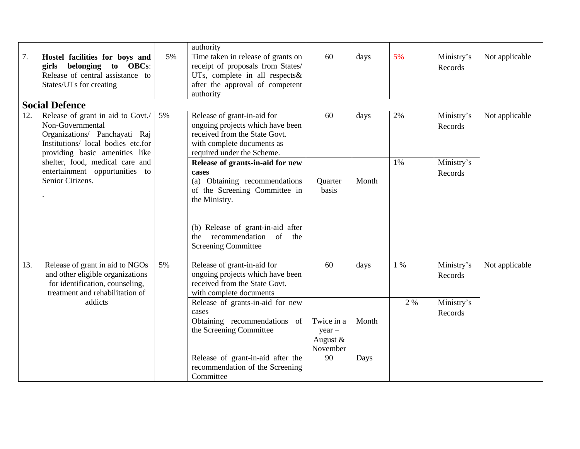|     |                                                                                                                                                                |    | authority                                                                                                                                                     |                                                        |               |     |                       |                |
|-----|----------------------------------------------------------------------------------------------------------------------------------------------------------------|----|---------------------------------------------------------------------------------------------------------------------------------------------------------------|--------------------------------------------------------|---------------|-----|-----------------------|----------------|
| 7.  | Hostel facilities for boys and<br>girls belonging<br>to OBCs:<br>Release of central assistance to<br>States/UTs for creating                                   | 5% | Time taken in release of grants on<br>receipt of proposals from States/<br>UTs, complete in all respects $\&$<br>after the approval of competent<br>authority | 60                                                     | days          | 5%  | Ministry's<br>Records | Not applicable |
|     | <b>Social Defence</b>                                                                                                                                          |    |                                                                                                                                                               |                                                        |               |     |                       |                |
| 12. | Release of grant in aid to Govt./<br>Non-Governmental<br>Organizations/ Panchayati Raj<br>Institutions/ local bodies etc.for<br>providing basic amenities like | 5% | Release of grant-in-aid for<br>ongoing projects which have been<br>received from the State Govt.<br>with complete documents as<br>required under the Scheme.  | 60                                                     | days          | 2%  | Ministry's<br>Records | Not applicable |
|     | shelter, food, medical care and<br>entertainment opportunities to<br>Senior Citizens.                                                                          |    | Release of grants-in-aid for new<br>cases<br>(a) Obtaining recommendations<br>of the Screening Committee in<br>the Ministry.                                  | Quarter<br>basis                                       | Month         | 1%  | Ministry's<br>Records |                |
|     |                                                                                                                                                                |    | (b) Release of grant-in-aid after<br>recommendation of<br>the<br>the<br><b>Screening Committee</b>                                                            |                                                        |               |     |                       |                |
| 13. | Release of grant in aid to NGOs<br>and other eligible organizations<br>for identification, counseling,<br>treatment and rehabilitation of                      | 5% | Release of grant-in-aid for<br>ongoing projects which have been<br>received from the State Govt.<br>with complete documents                                   | 60                                                     | days          | 1 % | Ministry's<br>Records | Not applicable |
|     | addicts                                                                                                                                                        |    | Release of grants-in-aid for new<br>cases<br>Obtaining recommendations of<br>the Screening Committee<br>Release of grant-in-aid after the                     | Twice in a<br>$year -$<br>August $&$<br>November<br>90 | Month<br>Days | 2 % | Ministry's<br>Records |                |
|     |                                                                                                                                                                |    | recommendation of the Screening<br>Committee                                                                                                                  |                                                        |               |     |                       |                |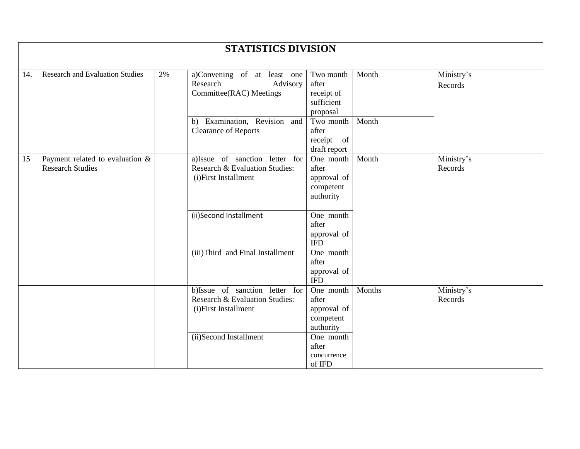|     |                                                               |    | <b>STATISTICS DIVISION</b>                                                               |                                                             |        |                       |  |
|-----|---------------------------------------------------------------|----|------------------------------------------------------------------------------------------|-------------------------------------------------------------|--------|-----------------------|--|
| 14. | <b>Research and Evaluation Studies</b>                        | 2% | a)Convening of at least one<br>Advisory<br>Research<br>Committee(RAC) Meetings           | Two month<br>after<br>receipt of<br>sufficient<br>proposal  | Month  | Ministry's<br>Records |  |
|     |                                                               |    | Examination, Revision and<br>b)<br><b>Clearance of Reports</b>                           | Two month<br>after<br>receipt of<br>draft report            | Month  |                       |  |
| 15  | Payment related to evaluation $\&$<br><b>Research Studies</b> |    | a)Issue of sanction letter for<br>Research & Evaluation Studies:<br>(i)First Installment | One month<br>after<br>approval of<br>competent<br>authority | Month  | Ministry's<br>Records |  |
|     |                                                               |    | (ii)Second Installment                                                                   | One month<br>after<br>approval of<br><b>IFD</b>             |        |                       |  |
|     |                                                               |    | (iii)Third and Final Installment                                                         | One month<br>after<br>approval of<br><b>IFD</b>             |        |                       |  |
|     |                                                               |    | b)Issue of sanction letter for<br>Research & Evaluation Studies:<br>(i)First Installment | One month<br>after<br>approval of<br>competent<br>authority | Months | Ministry's<br>Records |  |
|     |                                                               |    | (ii)Second Installment                                                                   | One month<br>after<br>concurrence<br>of IFD                 |        |                       |  |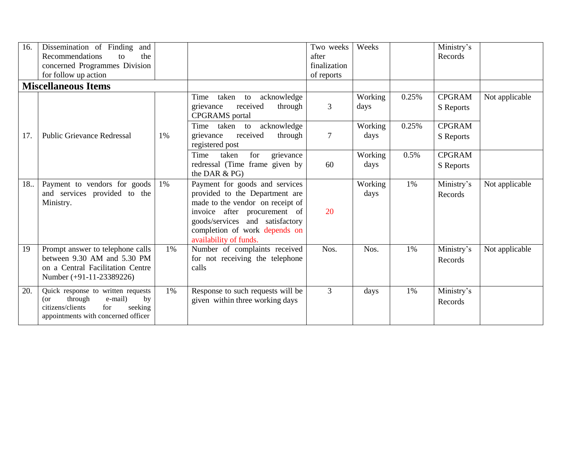| 16. | Dissemination of Finding and<br>Recommendations<br>the<br>to<br>concerned Programmes Division<br>for follow up action                              |    |                                                                                                                                                                                                                                    | Two weeks<br>after<br>finalization<br>of reports | Weeks           |       | Ministry's<br>Records      |                |
|-----|----------------------------------------------------------------------------------------------------------------------------------------------------|----|------------------------------------------------------------------------------------------------------------------------------------------------------------------------------------------------------------------------------------|--------------------------------------------------|-----------------|-------|----------------------------|----------------|
|     | <b>Miscellaneous Items</b>                                                                                                                         |    |                                                                                                                                                                                                                                    |                                                  |                 |       |                            |                |
|     |                                                                                                                                                    |    | taken to<br>acknowledge<br>Time<br>received<br>through<br>grievance<br><b>CPGRAMS</b> portal                                                                                                                                       | 3                                                | Working<br>days | 0.25% | <b>CPGRAM</b><br>S Reports | Not applicable |
| 17. | <b>Public Grievance Redressal</b>                                                                                                                  | 1% | Time<br>taken to<br>acknowledge<br>received<br>grievance<br>through<br>registered post                                                                                                                                             | $\tau$                                           | Working<br>days | 0.25% | <b>CPGRAM</b><br>S Reports |                |
|     |                                                                                                                                                    |    | for<br>Time<br>grievance<br>taken<br>redressal (Time frame given by<br>the DAR & PG)                                                                                                                                               | 60                                               | Working<br>days | 0.5%  | <b>CPGRAM</b><br>S Reports |                |
| 18  | Payment to vendors for goods<br>and services provided to the<br>Ministry.                                                                          | 1% | Payment for goods and services<br>provided to the Department are<br>made to the vendor on receipt of<br>invoice after procurement of<br>goods/services and satisfactory<br>completion of work depends on<br>availability of funds. | 20                                               | Working<br>days | 1%    | Ministry's<br>Records      | Not applicable |
| 19  | Prompt answer to telephone calls<br>between 9.30 AM and 5.30 PM<br>on a Central Facilitation Centre<br>Number (+91-11-23389226)                    | 1% | Number of complaints received<br>for not receiving the telephone<br>calls                                                                                                                                                          | Nos.                                             | Nos.            | 1%    | Ministry's<br>Records      | Not applicable |
| 20. | Quick response to written requests<br>through<br>e-mail)<br>by<br>(or<br>citizens/clients<br>seeking<br>for<br>appointments with concerned officer | 1% | Response to such requests will be<br>given within three working days                                                                                                                                                               | 3                                                | days            | 1%    | Ministry's<br>Records      |                |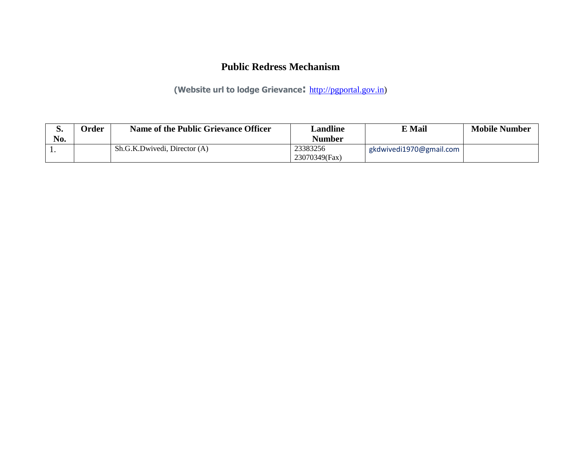### **Public Redress Mechanism**

**(Website url to lodge Grievance:** [http://pgportal.gov.in\)](http://pgportal.gov.in/)

| p.  | Order | Name of the Public Grievance Officer | Landline      | $\nabla$ Mail           | <b>Mobile Number</b> |
|-----|-------|--------------------------------------|---------------|-------------------------|----------------------|
| No. |       |                                      | Number        |                         |                      |
|     |       | Sh.G.K.Dwivedi, Director (A)         | 23383256      | gkdwivedi1970@gmail.com |                      |
|     |       |                                      | 23070349(Fax) |                         |                      |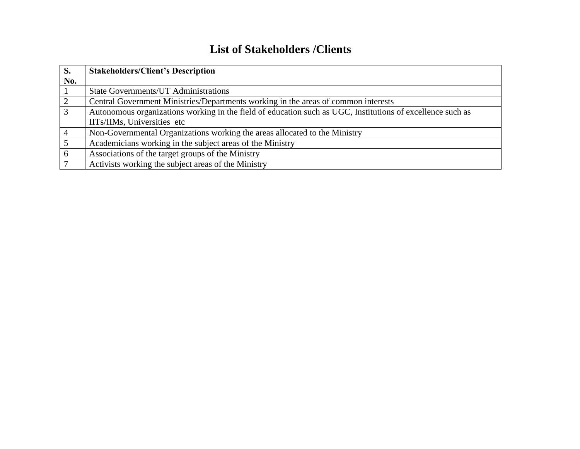# **List of Stakeholders /Clients**

| S.             | <b>Stakeholders/Client's Description</b>                                                                   |
|----------------|------------------------------------------------------------------------------------------------------------|
| No.            |                                                                                                            |
|                | <b>State Governments/UT Administrations</b>                                                                |
|                | Central Government Ministries/Departments working in the areas of common interests                         |
| $\overline{3}$ | Autonomous organizations working in the field of education such as UGC, Institutions of excellence such as |
|                | IITs/IIMs, Universities etc                                                                                |
|                | Non-Governmental Organizations working the areas allocated to the Ministry                                 |
|                | Academicians working in the subject areas of the Ministry                                                  |
| 6              | Associations of the target groups of the Ministry                                                          |
|                | Activists working the subject areas of the Ministry                                                        |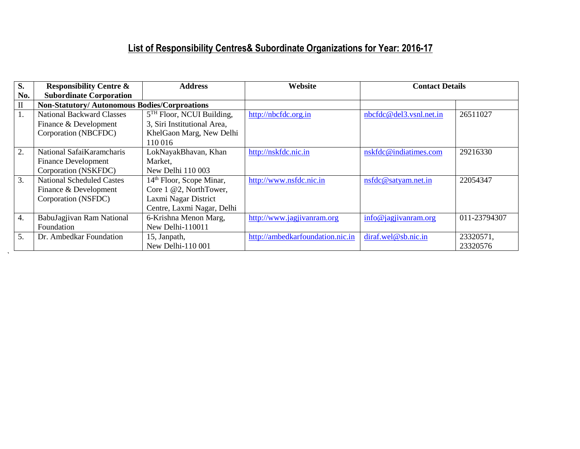# **List of Responsibility Centres& Subordinate Organizations for Year: 2016-17**

| S.           | <b>Responsibility Centre &amp;</b>                  | <b>Address</b>                       | Website                          | <b>Contact Details</b>  |              |
|--------------|-----------------------------------------------------|--------------------------------------|----------------------------------|-------------------------|--------------|
| No.          | <b>Subordinate Corporation</b>                      |                                      |                                  |                         |              |
| $\mathbf{I}$ | <b>Non-Statutory/Autonomous Bodies/Corproations</b> |                                      |                                  |                         |              |
| 1.           | <b>National Backward Classes</b>                    | $5TH$ Floor, NCUI Building,          | http://nbcfdc.org.in             | nbcfdc@del3.vsnl.net.in | 26511027     |
|              | Finance & Development                               | 3, Siri Institutional Area,          |                                  |                         |              |
|              | Corporation (NBCFDC)                                | KhelGaon Marg, New Delhi             |                                  |                         |              |
|              |                                                     | 110 016                              |                                  |                         |              |
| 2.           | National SafaiKaramcharis                           | LokNayakBhavan, Khan                 | http://nskfdc.nic.in             | nskfdc@indiatimes.com   | 29216330     |
|              | <b>Finance Development</b>                          | Market,                              |                                  |                         |              |
|              | Corporation (NSKFDC)                                | New Delhi 110 003                    |                                  |                         |              |
| 3.           | <b>National Scheduled Castes</b>                    | 14 <sup>th</sup> Floor, Scope Minar, | http://www.nsfdc.nic.in          | nsfdc@satyam.net.in     | 22054347     |
|              | Finance & Development                               | Core 1 @2, NorthTower,               |                                  |                         |              |
|              | Corporation (NSFDC)                                 | Laxmi Nagar District                 |                                  |                         |              |
|              |                                                     | Centre, Laxmi Nagar, Delhi           |                                  |                         |              |
| 4.           | BabuJagjivan Ram National                           | 6-Krishna Menon Marg,                | http://www.jagjivanram.org       | info@jagjivanram.org    | 011-23794307 |
|              | Foundation                                          | New Delhi-110011                     |                                  |                         |              |
| 5.           | Dr. Ambedkar Foundation                             | 15, Janpath,                         | http://ambedkarfoundation.nic.in | diraf.wel@sb.nic.in     | 23320571,    |
|              |                                                     | New Delhi-110 001                    |                                  |                         | 23320576     |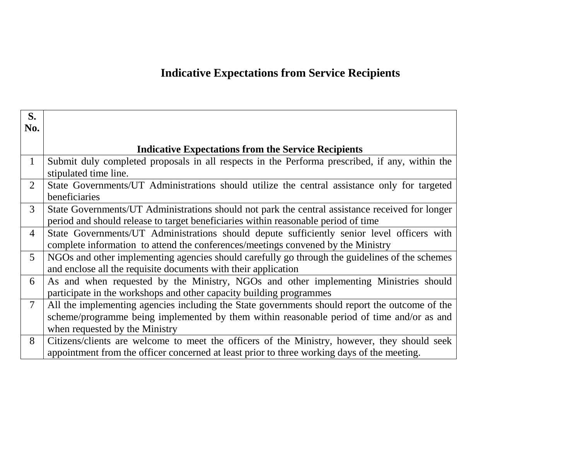# **Indicative Expectations from Service Recipients**

| S.             |                                                                                                                                                                                                                               |
|----------------|-------------------------------------------------------------------------------------------------------------------------------------------------------------------------------------------------------------------------------|
| No.            |                                                                                                                                                                                                                               |
|                | <b>Indicative Expectations from the Service Recipients</b>                                                                                                                                                                    |
| $\mathbf{1}$   | Submit duly completed proposals in all respects in the Performa prescribed, if any, within the<br>stipulated time line.                                                                                                       |
| 2              | State Governments/UT Administrations should utilize the central assistance only for targeted<br>beneficiaries                                                                                                                 |
| 3              | State Governments/UT Administrations should not park the central assistance received for longer<br>period and should release to target beneficiaries within reasonable period of time                                         |
| $\overline{4}$ | State Governments/UT Administrations should depute sufficiently senior level officers with<br>complete information to attend the conferences/meetings convened by the Ministry                                                |
| $\overline{5}$ | NGOs and other implementing agencies should carefully go through the guidelines of the schemes<br>and enclose all the requisite documents with their application                                                              |
| 6              | As and when requested by the Ministry, NGOs and other implementing Ministries should<br>participate in the workshops and other capacity building programmes                                                                   |
| $\overline{7}$ | All the implementing agencies including the State governments should report the outcome of the<br>scheme/programme being implemented by them within reasonable period of time and/or as and<br>when requested by the Ministry |
| 8              | Citizens/clients are welcome to meet the officers of the Ministry, however, they should seek<br>appointment from the officer concerned at least prior to three working days of the meeting.                                   |